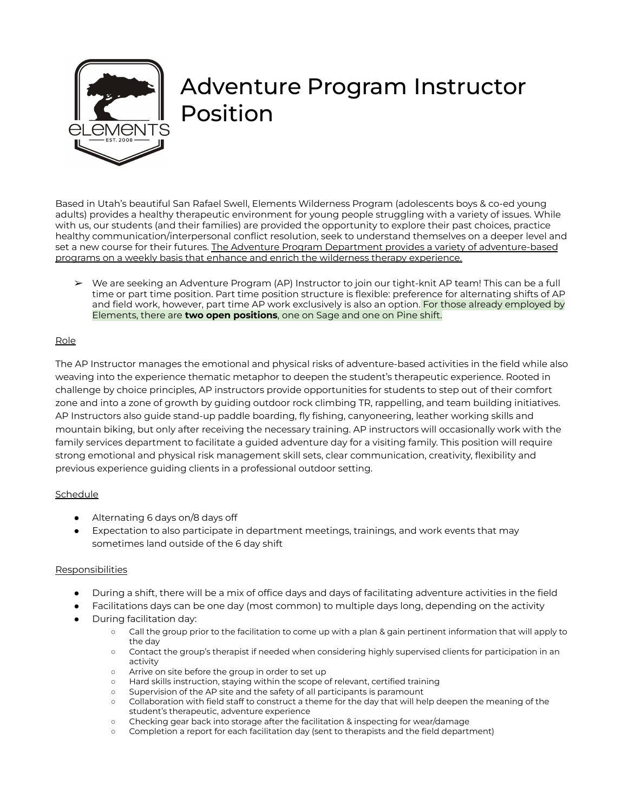

# Adventure Program Instructor Position

Based in Utah's beautiful San Rafael Swell, Elements Wilderness Program (adolescents boys & co-ed young adults) provides a healthy therapeutic environment for young people struggling with a variety of issues. While with us, our students (and their families) are provided the opportunity to explore their past choices, practice healthy communication/interpersonal conflict resolution, seek to understand themselves on a deeper level and set a new course for their futures. The Adventure Program Department provides a variety of adventure-based programs on a weekly basis that enhance and enrich the wilderness therapy experience.

➢ We are seeking an Adventure Program (AP) Instructor to join our tight-knit AP team! This can be a full time or part time position. Part time position structure is flexible: preference for alternating shifts of AP and field work, however, part time AP work exclusively is also an option. For those already employed by Elements, there are **two open positions**, one on Sage and one on Pine shift.

## Role

The AP Instructor manages the emotional and physical risks of adventure-based activities in the field while also weaving into the experience thematic metaphor to deepen the student's therapeutic experience. Rooted in challenge by choice principles, AP instructors provide opportunities for students to step out of their comfort zone and into a zone of growth by guiding outdoor rock climbing TR, rappelling, and team building initiatives. AP Instructors also guide stand-up paddle boarding, fly fishing, canyoneering, leather working skills and mountain biking, but only after receiving the necessary training. AP instructors will occasionally work with the family services department to facilitate a guided adventure day for a visiting family. This position will require strong emotional and physical risk management skill sets, clear communication, creativity, flexibility and previous experience guiding clients in a professional outdoor setting.

## **Schedule**

- Alternating 6 days on/8 days off
- Expectation to also participate in department meetings, trainings, and work events that may sometimes land outside of the 6 day shift

## **Responsibilities**

- During a shift, there will be a mix of office days and days of facilitating adventure activities in the field
- Facilitations days can be one day (most common) to multiple days long, depending on the activity
- During facilitation day:
	- Call the group prior to the facilitation to come up with a plan & gain pertinent information that will apply to the day
	- Contact the group's therapist if needed when considering highly supervised clients for participation in an activity
	- Arrive on site before the group in order to set up
	- Hard skills instruction, staying within the scope of relevant, certified training
	- Supervision of the AP site and the safety of all participants is paramount
	- Collaboration with field staff to construct a theme for the day that will help deepen the meaning of the student's therapeutic, adventure experience
	- Checking gear back into storage after the facilitation & inspecting for wear/damage
	- Completion a report for each facilitation day (sent to therapists and the field department)